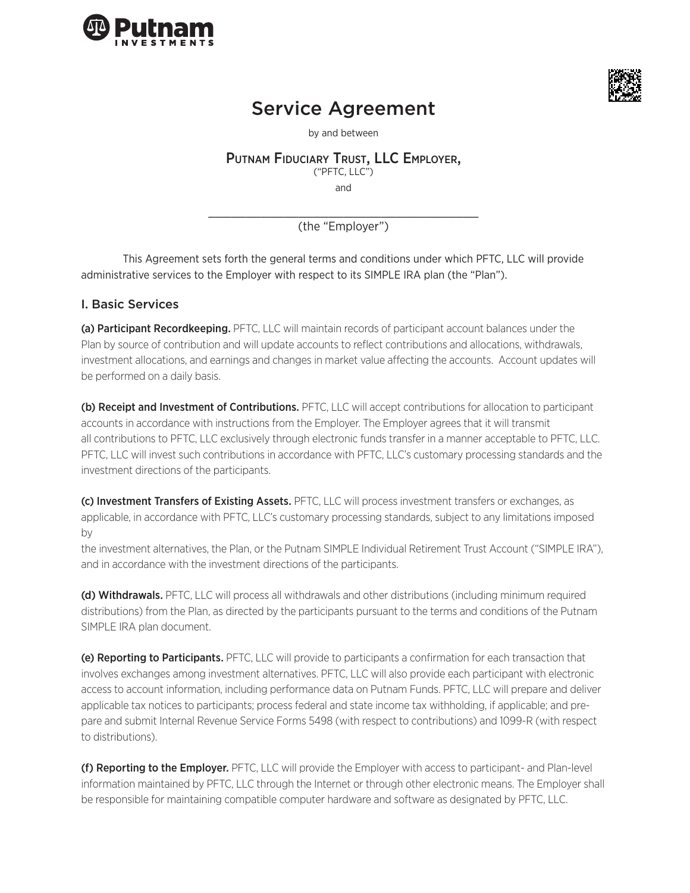



# Service Agreement

by and between

# Putnam Fiduciary Trust, LLC Employer,

("PFTC, LLC")

and

\_\_\_\_\_\_\_\_\_\_\_\_\_\_\_\_\_\_\_\_\_\_\_\_\_\_\_\_\_\_\_\_\_\_\_\_ (the "Employer")

This Agreement sets forth the general terms and conditions under which PFTC, LLC will provide administrative services to the Employer with respect to its SIMPLE IRA plan (the "Plan").

# I. Basic Services

(a) Participant Recordkeeping. PFTC, LLC will maintain records of participant account balances under the Plan by source of contribution and will update accounts to reflect contributions and allocations, withdrawals, investment allocations, and earnings and changes in market value affecting the accounts. Account updates will be performed on a daily basis.

(b) Receipt and Investment of Contributions. PFTC, LLC will accept contributions for allocation to participant accounts in accordance with instructions from the Employer. The Employer agrees that it will transmit all contributions to PFTC, LLC exclusively through electronic funds transfer in a manner acceptable to PFTC, LLC. PFTC, LLC will invest such contributions in accordance with PFTC, LLC's customary processing standards and the investment directions of the participants.

(c) Investment Transfers of Existing Assets. PFTC, LLC will process investment transfers or exchanges, as applicable, in accordance with PFTC, LLC's customary processing standards, subject to any limitations imposed by

the investment alternatives, the Plan, or the Putnam SIMPLE Individual Retirement Trust Account ("SIMPLE IRA"), and in accordance with the investment directions of the participants.

(d) Withdrawals. PFTC, LLC will process all withdrawals and other distributions (including minimum required distributions) from the Plan, as directed by the participants pursuant to the terms and conditions of the Putnam SIMPLE IRA plan document.

(e) Reporting to Participants. PFTC, LLC will provide to participants a confirmation for each transaction that involves exchanges among investment alternatives. PFTC, LLC will also provide each participant with electronic access to account information, including performance data on Putnam Funds. PFTC, LLC will prepare and deliver applicable tax notices to participants; process federal and state income tax withholding, if applicable; and prepare and submit Internal Revenue Service Forms 5498 (with respect to contributions) and 1099-R (with respect to distributions).

(f) Reporting to the Employer. PFTC, LLC will provide the Employer with access to participant- and Plan-level information maintained by PFTC, LLC through the Internet or through other electronic means. The Employer shall be responsible for maintaining compatible computer hardware and software as designated by PFTC, LLC.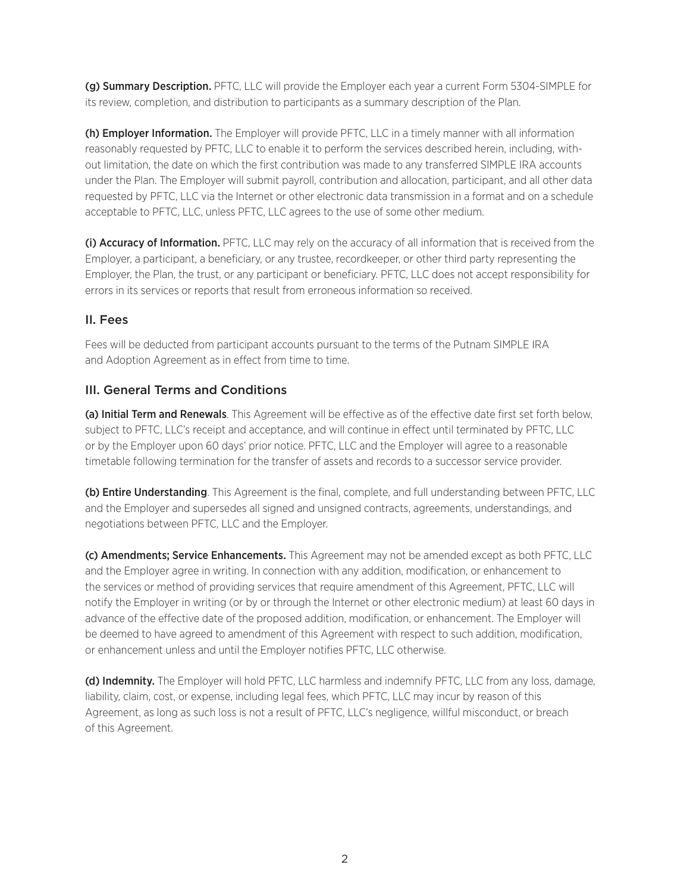(g) Summary Description. PFTC, LLC will provide the Employer each year a current Form 5304-SIMPLE for its review, completion, and distribution to participants as a summary description of the Plan.

(h) Employer Information. The Employer will provide PFTC, LLC in a timely manner with all information reasonably requested by PFTC, LLC to enable it to perform the services described herein, including, without limitation, the date on which the first contribution was made to any transferred SIMPLE IRA accounts under the Plan. The Employer will submit payroll, contribution and allocation, participant, and all other data requested by PFTC, LLC via the Internet or other electronic data transmission in a format and on a schedule acceptable to PFTC, LLC, unless PFTC, LLC agrees to the use of some other medium.

(i) Accuracy of Information. PFTC, LLC may rely on the accuracy of all information that is received from the Employer, a participant, a beneficiary, or any trustee, recordkeeper, or other third party representing the Employer, the Plan, the trust, or any participant or beneficiary. PFTC, LLC does not accept responsibility for errors in its services or reports that result from erroneous information so received.

#### II. Fees

Fees will be deducted from participant accounts pursuant to the terms of the Putnam SIMPLE IRA and Adoption Agreement as in effect from time to time.

# III. General Terms and Conditions

(a) Initial Term and Renewals. This Agreement will be effective as of the effective date first set forth below, subject to PFTC, LLC's receipt and acceptance, and will continue in effect until terminated by PFTC, LLC or by the Employer upon 60 days' prior notice. PFTC, LLC and the Employer will agree to a reasonable timetable following termination for the transfer of assets and records to a successor service provider.

(b) Entire Understanding. This Agreement is the final, complete, and full understanding between PFTC, LLC and the Employer and supersedes all signed and unsigned contracts, agreements, understandings, and negotiations between PFTC, LLC and the Employer.

(c) Amendments; Service Enhancements. This Agreement may not be amended except as both PFTC, LLC and the Employer agree in writing. In connection with any addition, modification, or enhancement to the services or method of providing services that require amendment of this Agreement, PFTC, LLC will notify the Employer in writing (or by or through the Internet or other electronic medium) at least 60 days in advance of the effective date of the proposed addition, modification, or enhancement. The Employer will be deemed to have agreed to amendment of this Agreement with respect to such addition, modification, or enhancement unless and until the Employer notifies PFTC, LLC otherwise.

(d) Indemnity. The Employer will hold PFTC, LLC harmless and indemnify PFTC, LLC from any loss, damage, liability, claim, cost, or expense, including legal fees, which PFTC, LLC may incur by reason of this Agreement, as long as such loss is not a result of PFTC, LLC's negligence, willful misconduct, or breach of this Agreement.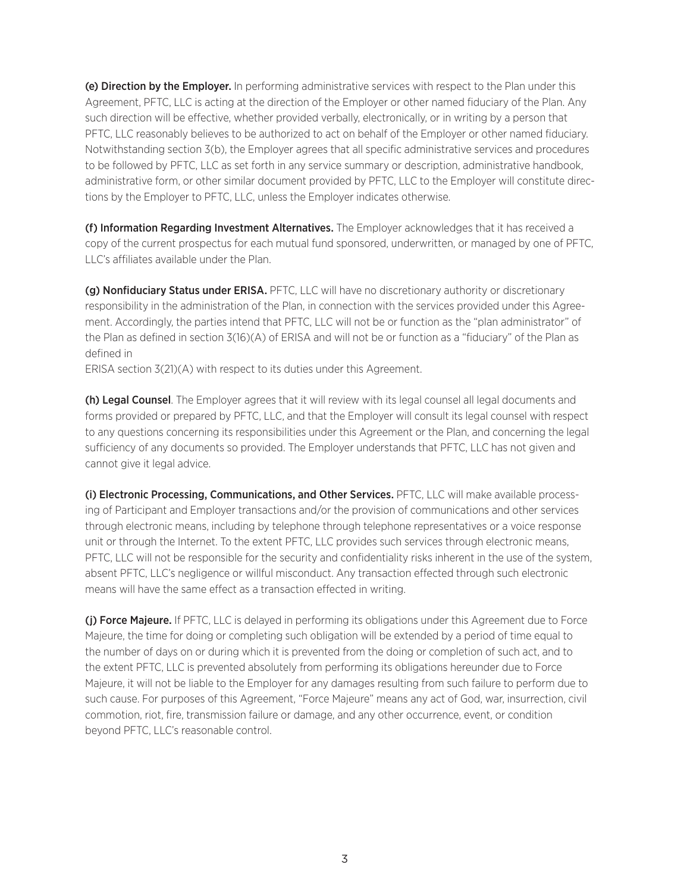(e) Direction by the Employer. In performing administrative services with respect to the Plan under this Agreement, PFTC, LLC is acting at the direction of the Employer or other named fiduciary of the Plan. Any such direction will be effective, whether provided verbally, electronically, or in writing by a person that PFTC, LLC reasonably believes to be authorized to act on behalf of the Employer or other named fiduciary. Notwithstanding section 3(b), the Employer agrees that all specific administrative services and procedures to be followed by PFTC, LLC as set forth in any service summary or description, administrative handbook, administrative form, or other similar document provided by PFTC, LLC to the Employer will constitute directions by the Employer to PFTC, LLC, unless the Employer indicates otherwise.

(f) Information Regarding Investment Alternatives. The Employer acknowledges that it has received a copy of the current prospectus for each mutual fund sponsored, underwritten, or managed by one of PFTC, LLC's affiliates available under the Plan.

(g) Nonfiduciary Status under ERISA. PFTC, LLC will have no discretionary authority or discretionary responsibility in the administration of the Plan, in connection with the services provided under this Agreement. Accordingly, the parties intend that PFTC, LLC will not be or function as the "plan administrator" of the Plan as defined in section 3(16)(A) of ERISA and will not be or function as a "fiduciary" of the Plan as defined in

ERISA section 3(21)(A) with respect to its duties under this Agreement.

(h) Legal Counsel. The Employer agrees that it will review with its legal counsel all legal documents and forms provided or prepared by PFTC, LLC, and that the Employer will consult its legal counsel with respect to any questions concerning its responsibilities under this Agreement or the Plan, and concerning the legal sufficiency of any documents so provided. The Employer understands that PFTC, LLC has not given and cannot give it legal advice.

(i) Electronic Processing, Communications, and Other Services. PFTC, LLC will make available processing of Participant and Employer transactions and/or the provision of communications and other services through electronic means, including by telephone through telephone representatives or a voice response unit or through the Internet. To the extent PFTC, LLC provides such services through electronic means, PFTC, LLC will not be responsible for the security and confidentiality risks inherent in the use of the system, absent PFTC, LLC's negligence or willful misconduct. Any transaction effected through such electronic means will have the same effect as a transaction effected in writing.

(j) Force Majeure. If PFTC, LLC is delayed in performing its obligations under this Agreement due to Force Majeure, the time for doing or completing such obligation will be extended by a period of time equal to the number of days on or during which it is prevented from the doing or completion of such act, and to the extent PFTC, LLC is prevented absolutely from performing its obligations hereunder due to Force Majeure, it will not be liable to the Employer for any damages resulting from such failure to perform due to such cause. For purposes of this Agreement, "Force Majeure" means any act of God, war, insurrection, civil commotion, riot, fire, transmission failure or damage, and any other occurrence, event, or condition beyond PFTC, LLC's reasonable control.